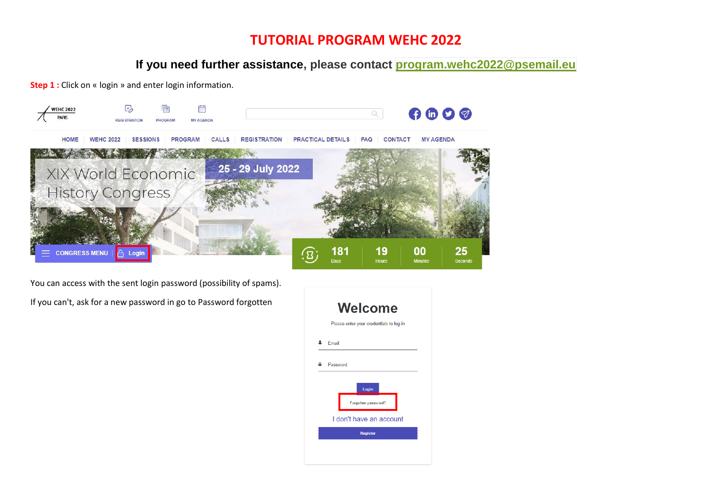# **TUTORIAL PROGRAM WEHC 2022**

**If you need further assistance, please contact [program.wehc2022@psemail.eu](mailto:program.wehc2022@psemail.eu)**

**Step 1** : Click on « login » and enter login information.



You can access with the sent login password (possibility of spams).

If you can't, ask for a new password in go to Password forgotten

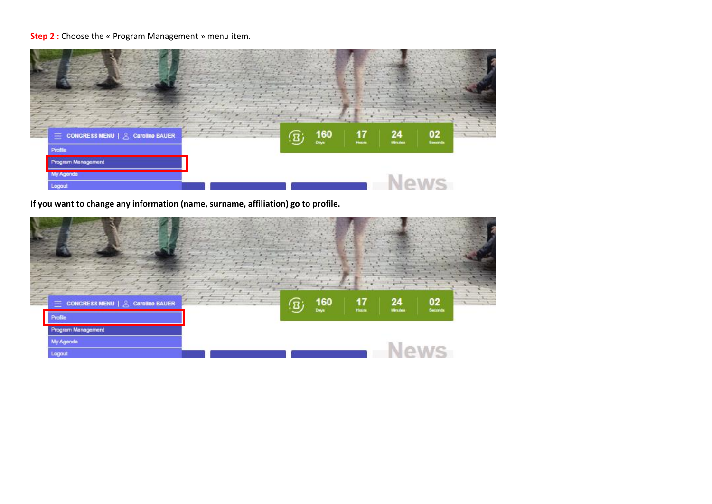# **Step 2 :** Choose the « Program Management » menu item.



**If you want to change any information (name, surname, affiliation) go to profile.**

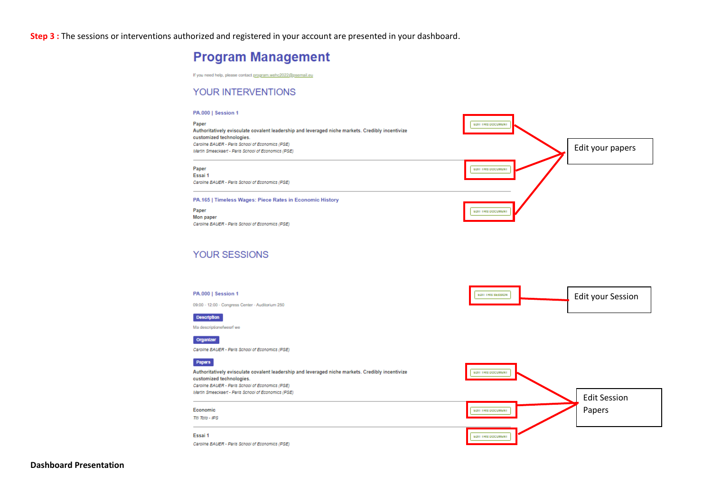**Step 3 :** The sessions or interventions authorized and registered in your account are presented in your dashboard.

# **Program Management**

If you need help, please contact program.wehc2022@psemail.eu

### YOUR INTERVENTIONS

#### PA.000 | Session 1



### **YOUR SESSIONS**



**Dashboard Presentation**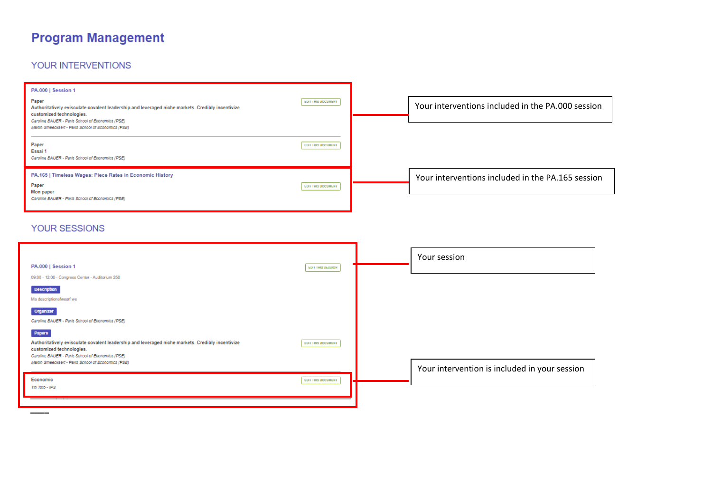# **Program Management**

# YOUR INTERVENTIONS

| PA.000   Session 1<br>Paper<br>Authoritatively evisculate covalent leadership and leveraged niche markets. Credibly incentivize<br>customized technologies.<br>Caroline BAUER - Paris School of Economics (PSE) | EDIT THIS DOCUMENT | Your interventions included in the PA.000 session |
|-----------------------------------------------------------------------------------------------------------------------------------------------------------------------------------------------------------------|--------------------|---------------------------------------------------|
| Martin Smeeckaert - Paris School of Economics (PSE)<br>Paper<br>Essai 1<br>Caroline BAUER - Paris School of Economics (PSE)                                                                                     | EDIT THIS DOCUMENT |                                                   |
| PA.165   Timeless Wages: Piece Rates in Economic History<br>Paper<br>Mon paper<br>Caroline BAUER - Paris School of Economics (PSE)                                                                              | EDIT THIS DOCUMENT | Your interventions included in the PA.165 session |

## YOUR SESSIONS

| PA.000   Session 1<br>09:00 - 12:00 - Congress Center - Auditorium 250                                                                                                                                                                         | EDIT THIS SESSION  | Your session                                  |
|------------------------------------------------------------------------------------------------------------------------------------------------------------------------------------------------------------------------------------------------|--------------------|-----------------------------------------------|
| <b>Description</b><br>Ma descriptionefwesrf we<br>Organizer                                                                                                                                                                                    |                    |                                               |
| Caroline BAUER - Paris School of Economics (PSE)<br>Papers<br>Authoritatively evisculate covalent leadership and leveraged niche markets. Credibly incentivize<br>customized technologies.<br>Caroline BAUER - Paris School of Economics (PSE) | EDIT THIS DOCUMENT |                                               |
| Martin Smeeckaert - Paris School of Economics (PSE)<br>Economic<br>Titl Toto - IPS                                                                                                                                                             | EDIT THIS DOCUMENT | Your intervention is included in your session |
|                                                                                                                                                                                                                                                |                    |                                               |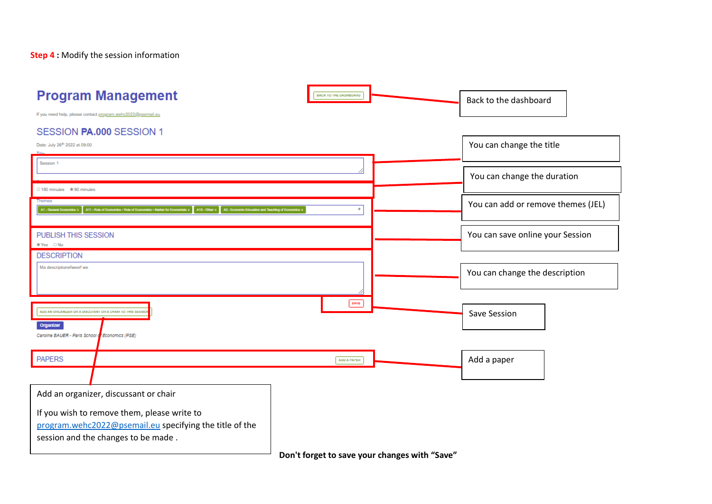**Step 4 :** Modify the session information

| <b>Program Management</b><br>BACK TO THE DASHBOARD.                                                                                                                                                                                      | Back to the dashboard              |
|------------------------------------------------------------------------------------------------------------------------------------------------------------------------------------------------------------------------------------------|------------------------------------|
| If you need help, please contact program.wehc2022@psemail.eu<br>SESSION PA.000 SESSION 1                                                                                                                                                 |                                    |
| Date: July 26th 2022 at 09:00                                                                                                                                                                                                            | You can change the title           |
| Session 1                                                                                                                                                                                                                                | You can change the duration        |
| 0 180 minutes 90 minutes<br>Themes<br>A11 - Role of Economics . Role of Economists . Market for Economists x A19 - Other x A2 - Economic Education and Teaching of Economics x<br>$^{+}$<br>A1 - Cananal Econ                            | You can add or remove themes (JEL) |
| PUBLISH THIS SESSION<br>■ Yes O No                                                                                                                                                                                                       | You can save online your Session   |
| <b>DESCRIPTION</b><br>Ma descriptionefwestf we                                                                                                                                                                                           | You can change the description     |
| SAVE<br>ADD AN ORGANIZER OR A DISCUTANT OR A CHAIR TO THIS SESSIO<br>Organizer<br>Caroline BAUER - Paris School d' Economics (PSE)                                                                                                       | Save Session                       |
| <b>PAPERS</b><br>ADD A PAPER.                                                                                                                                                                                                            | Add a paper                        |
| Add an organizer, discussant or chair<br>If you wish to remove them, please write to<br>program.wehc2022@psemail.eu specifying the title of the<br>session and the changes to be made.<br>Depth fought to countries above an with "Count |                                    |

**Don't forget to save your changes with "Save"**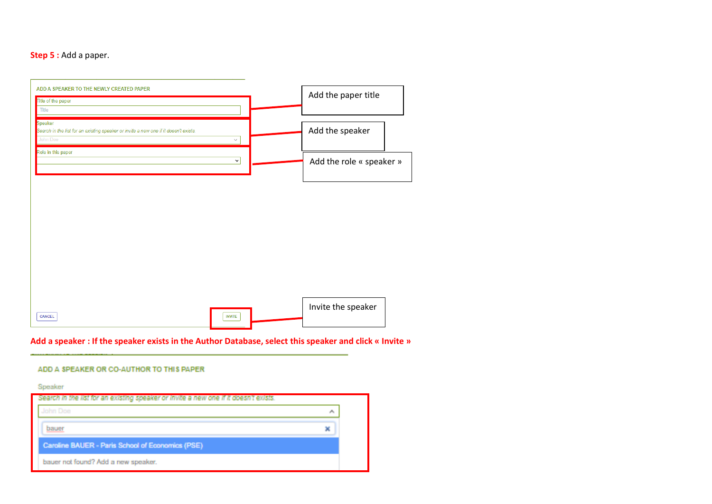### **Step 5** : Add a paper.



### **Add a speaker : If the speaker exists in the Author Database, select this speaker and click « Invite »**

#### ADD A SPEAKER OR CO-AUTHOR TO THIS PAPER

Speaker

| Search in the list for an existing speaker or invite a new one if it doesn't exists. |    |
|--------------------------------------------------------------------------------------|----|
|                                                                                      | ×. |
| bauer                                                                                |    |
| Caroline BAUER - Paris School of Economics (PSE)                                     |    |
| bauer not found? Add a new speaker.                                                  |    |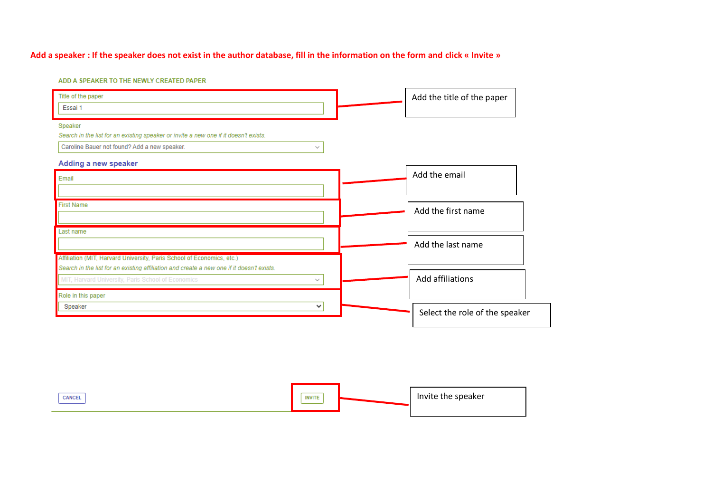## **Add a speaker : If the speaker does not exist in the author database, fill in the information on the form and click « Invite »**

ADD A SPEAKER TO THE NEWLY CREATED PAPER

| Title of the paper<br>Essai 1                                                             |              | Add the title of the paper     |
|-------------------------------------------------------------------------------------------|--------------|--------------------------------|
| Speaker                                                                                   |              |                                |
| Search in the list for an existing speaker or invite a new one if it doesn't exists.      |              |                                |
| Caroline Bauer not found? Add a new speaker.                                              | $\checkmark$ |                                |
| Adding a new speaker                                                                      |              |                                |
| Email                                                                                     |              | Add the email                  |
|                                                                                           |              |                                |
| <b>First Name</b>                                                                         |              |                                |
|                                                                                           |              | Add the first name             |
|                                                                                           |              |                                |
| Last name                                                                                 |              |                                |
|                                                                                           |              | Add the last name              |
| Affiliation (MIT, Harvard University, Paris School of Economics, etc.)                    |              |                                |
| Search in the list for an existing affiliation and create a new one if it doesn't exists. |              |                                |
| MIT, Harvard University, Paris School of Economics                                        | $\checkmark$ | Add affiliations               |
| Role in this paper                                                                        |              |                                |
| Speaker                                                                                   | v            | Select the role of the speaker |
|                                                                                           |              |                                |

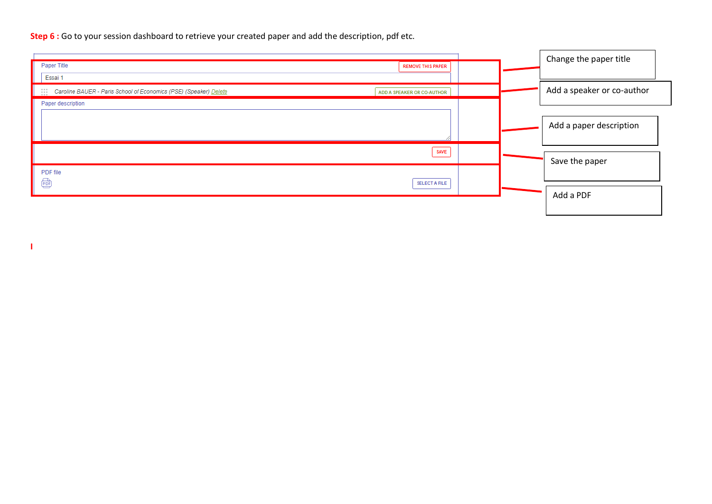**Step 6** : Go to your session dashboard to retrieve your created paper and add the description, pdf etc.

|                                                                   |                            | Change the paper title     |
|-------------------------------------------------------------------|----------------------------|----------------------------|
| Paper Title                                                       | <b>REMOVE THIS PAPER</b>   |                            |
| Essai 1                                                           |                            |                            |
| Caroline BAUER - Paris School of Economics (PSE) (Speaker) Delete | ADD A SPEAKER OR CO-AUTHOR | Add a speaker or co-author |
| Paper description                                                 |                            |                            |
|                                                                   |                            |                            |
|                                                                   |                            | Add a paper description    |
|                                                                   |                            |                            |
|                                                                   | <b>SAVE</b>                |                            |
|                                                                   |                            | Save the paper             |
| PDF file                                                          |                            |                            |
| 靊                                                                 | <b>SELECT A FILE</b>       |                            |
|                                                                   |                            | Add a PDF                  |
|                                                                   |                            |                            |
|                                                                   |                            |                            |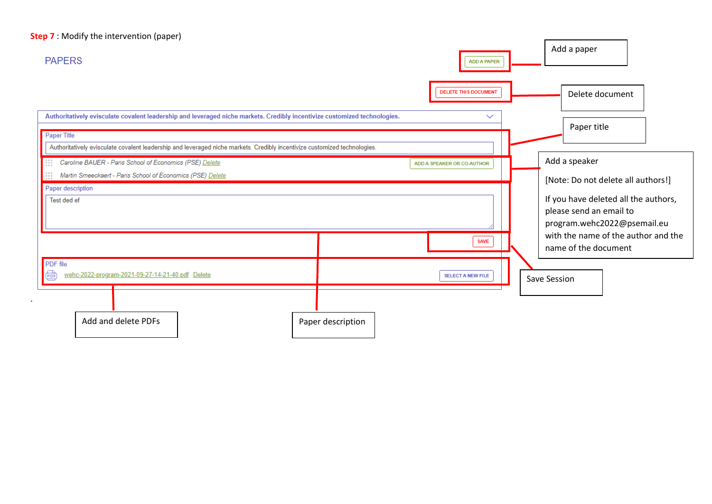# **Step 7** : Modify the intervention (paper)

.

| <b>PAPERS</b>                                                                                                                                                                                                                                                         |                   | <b>ADD A PAPER</b>          | Add a paper                                                                                                                           |
|-----------------------------------------------------------------------------------------------------------------------------------------------------------------------------------------------------------------------------------------------------------------------|-------------------|-----------------------------|---------------------------------------------------------------------------------------------------------------------------------------|
|                                                                                                                                                                                                                                                                       |                   | <b>DELETE THIS DOCUMENT</b> | Delete document                                                                                                                       |
| Authoritatively evisculate covalent leadership and leveraged niche markets. Credibly incentivize customized technologies.<br>Paper Title<br>Authoritatively evisculate covalent leadership and leveraged niche markets. Credibly incentivize customized technologies. |                   | $\checkmark$                | Paper title                                                                                                                           |
| Caroline BAUER - Paris School of Economics (PSE) Delete<br>$\begin{array}{c} 0 & 0 & 0 \\ 0 & 0 & 0 \\ 0 & 0 & 0 \end{array}$<br>$\begin{array}{c} 0 & 0 & 0 \\ 0 & 0 & 0 \\ 0 & 0 & 0 \end{array}$<br>Martin Smeeckaert - Paris School of Economics (PSE) Delete     |                   | ADD A SPEAKER OR CO-AUTHOR  | Add a speaker<br>[Note: Do not delete all authors!]                                                                                   |
| Paper description<br>Test ded ef                                                                                                                                                                                                                                      |                   |                             | If you have deleted all the authors,<br>please send an email to<br>program.wehc2022@psemail.eu<br>with the name of the author and the |
|                                                                                                                                                                                                                                                                       |                   | <b>SAVE</b>                 | name of the document                                                                                                                  |
| PDF file<br>€<br>wehc-2022-program-2021-09-27-14-21-40.pdf Delete                                                                                                                                                                                                     |                   | <b>SELECT A NEW FILE</b>    | Save Session                                                                                                                          |
| Add and delete PDFs                                                                                                                                                                                                                                                   | Paper description |                             |                                                                                                                                       |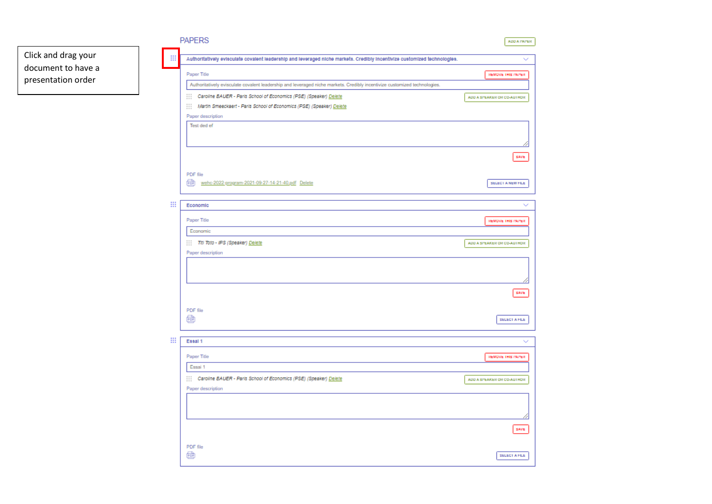

| стветительные для называние значить пользон отпрозати по того пруша плоты платосов, эспользу «только позволять |                             |
|----------------------------------------------------------------------------------------------------------------|-----------------------------|
| Caroline BAUER - Paris School of Economics (PSE) (Speaker) Delete                                              | ADD A SPEAKER OR CO-AUTHOR. |
| Martin Smeeckaert - Paris School of Economics (PSE) (Speaker) Delete                                           |                             |
| Paper description                                                                                              |                             |
| Test ded ef                                                                                                    |                             |
|                                                                                                                |                             |
|                                                                                                                |                             |
|                                                                                                                | SAVE                        |
|                                                                                                                |                             |
| PDF file                                                                                                       |                             |
| œ<br>wehc-2022-program-2021-09-27-14-21-40.pdf Delete                                                          | SELECT A NEW FILE           |
|                                                                                                                |                             |
| Economic                                                                                                       |                             |
|                                                                                                                |                             |
| Paper Title                                                                                                    | REMOVE THIS PAPER.          |
| Economic                                                                                                       |                             |
|                                                                                                                |                             |
| Thi Toto - IPS (Speaker) Delete                                                                                | ADD A SPEAKER OR CO-AUTHOR. |
| Paper description                                                                                              |                             |
|                                                                                                                |                             |
|                                                                                                                |                             |
|                                                                                                                |                             |
|                                                                                                                | SAVE                        |
|                                                                                                                |                             |
| PDF file                                                                                                       |                             |
| 圇                                                                                                              | <b>SELECT A FILE</b>        |
|                                                                                                                |                             |
| Essal 1                                                                                                        |                             |
|                                                                                                                |                             |
| Paper Title                                                                                                    | REMOVE THIS PAPER.          |
| Essai 1                                                                                                        |                             |
| Caroline BAUER - Paris School of Economics (PSE) (Speaker) Delete                                              | ADD A SPEAKER OR CO-AUTHOR. |
| Paper description                                                                                              |                             |
|                                                                                                                |                             |
|                                                                                                                |                             |
|                                                                                                                |                             |
|                                                                                                                |                             |
|                                                                                                                | SAVE                        |
|                                                                                                                |                             |
| PDF file                                                                                                       |                             |
| $\frac{1}{\left\vert \phi _{0}\right\vert }$                                                                   | <b>SELECT A FILE</b>        |

ADDATAPER

REMOVE THIS PAPER

 $\overline{\mathscr{S}}$